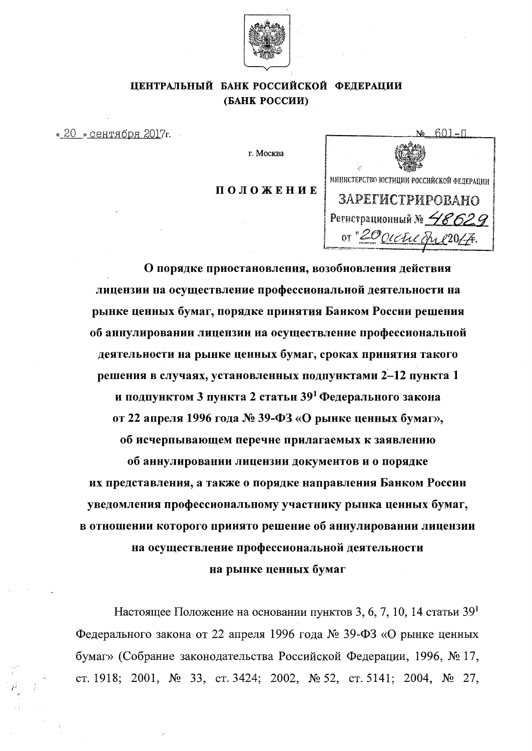

# ЦЕНТРАЛЬНЫЙ БАНК РОССИЙСКОЙ ФЕДЕРАЦИИ (БАНК РОССИИ)

«20 » сентября 2017г.

г. Москва

ПОЛОЖЕНИЕ



О порядке приостановления, возобновления действия лицензии на осуществление профессиональной деятельности на рынке ценных бумаг, порядке принятия Банком России решения об аннулировании лицензии на осуществление профессиональной деятельности на рынке ценных бумаг, сроках принятия такого решения в случаях, установленных подпунктами 2-12 пункта 1 и подпунктом 3 пункта 2 статьи 39<sup>1</sup> Федерального закона от 22 апреля 1996 года № 39-ФЗ «О рынке ценных бумаг», об исчерпывающем перечне прилагаемых к заявлению об аннулировании лицензии документов и о порядке их представления, а также о порядке направления Банком России уведомления профессиональному участнику рынка ценных бумаг, в отношении которого принято решение об аннулировании лицензии на осуществление профессиональной деятельности на рынке ценных бумаг

Настоящее Положение на основании пунктов 3, 6, 7, 10, 14 статьи  $39<sup>1</sup>$ Федерального закона от 22 апреля 1996 года № 39-ФЗ «О рынке ценных бумаг» (Собрание законодательства Российской Федерации, 1996, № 17, ct. 1918; 2001, № 33, ct. 3424; 2002, № 52, ct. 5141; 2004, № 27,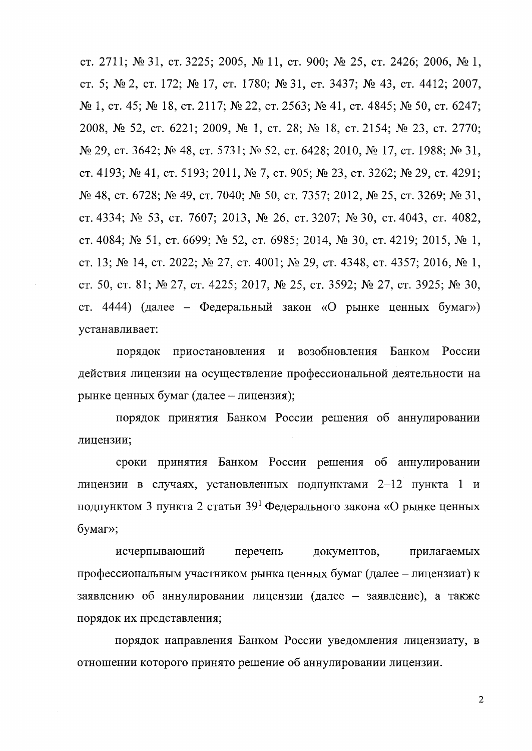ст. 2711; № 31, ст. 3225; 2005, № 11, ст. 900; № 25, ст. 2426; 2006, № 1, ct. 5;  $\mathcal{N}_2$  2, ct. 172;  $\mathcal{N}_2$  17, ct. 1780;  $\mathcal{N}_2$  31, ct. 3437;  $\mathcal{N}_2$  43, ct. 4412; 2007,  $N_2$  1, ct. 45;  $N_2$  18, ct. 2117;  $N_2$  22, ct. 2563;  $N_2$  41, ct. 4845;  $N_2$  50, ct. 6247; 2008, № 52, ст. 6221; 2009, № 1, ст. 28; № 18, ст. 2154; № 23, ст. 2770; № 29, ст. 3642; № 48, ст. 5731; № 52, ст. 6428; 2010, № 17, ст. 1988; № 31, CT. 4193; № 41, СТ. 5193; 2011, № 7, СТ. 905; № 23, СТ. 3262; № 29, СТ. 4291; № 48, ст. 6728; № 49, ст. 7040; № 50, ст. 7357; 2012, № 25, ст. 3269; № 31, CT. 4334;  $\mathcal{N}_2$  53, CT. 7607; 2013,  $\mathcal{N}_2$  26, CT. 3207;  $\mathcal{N}_2$  30, CT. 4043, CT. 4082, CT. 4084; No 51, CT. 6699; No 52, CT. 6985; 2014, No 30, CT. 4219; 2015, No 1, CT. 13;  $\mathcal{N}_2$  14, CT. 2022;  $\mathcal{N}_2$  27, CT. 4001;  $\mathcal{N}_2$  29, CT. 4348, CT. 4357; 2016,  $\mathcal{N}_2$  1, ct. 50, ct. 81;  $\mathcal{N}$  27, ct. 4225; 2017,  $\mathcal{N}$  25, ct. 3592;  $\mathcal{N}$  27, ct. 3925;  $\mathcal{N}$  30, ст. 4444) (далее – Федеральный закон «О рынке ценных бумаг») ycTaHaBJIHBaeT:

порядок приостановления и возобновления Банком России действия лицензии на осуществление профессиональной деятельности на рынке ценных бумаг (далее - лицензия);

порядок принятия Банком России решения об аннулировании лицензии;

сроки принятия Банком России решения об аннулировании лицензии в случаях, установленных подпунктами  $2-12$  пункта 1 и подпунктом 3 пункта 2 статьи  $39<sup>1</sup>$  Федерального закона «О рынке ценных 6yMar»;

исчерпывающий перечень документов, прилагаемых профессиональным участником рынка ценных бумаг (далее - лицензиат) к заявлению об аннулировании лицензии (далее - заявление), а также порядок их представления;

порядок направления Банком России уведомления лицензиату, в отношении которого принято решение об аннулировании лицензии.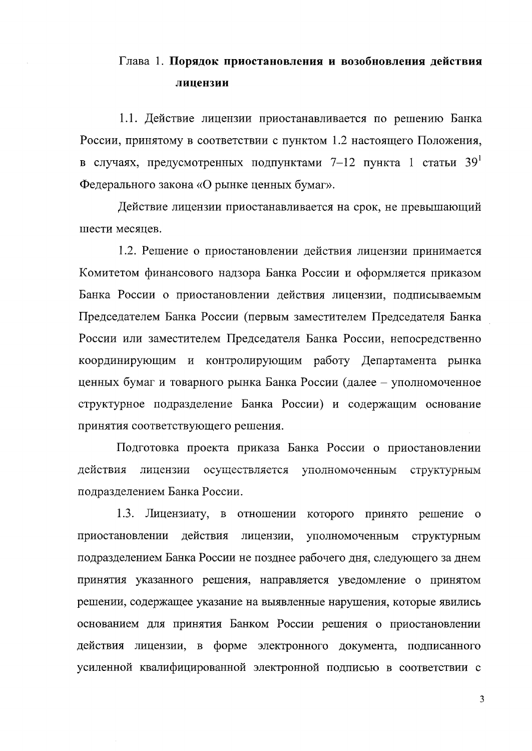# Глава 1. Порядок приостановления и возобновления действия лицензии

1.1. Действие лицензии приостанавливается по решению Банка России, принятому в соответствии с пунктом 1.2 настоящего Положения, в случаях, предусмотренных подпунктами 7-12 пункта 1 статьи 39 Федерального закона «О рынке ценных бумаг».

Действие лицензии приостанавливается на срок, не превышающий шести месяцев.

1.2. Решение о приостановлении действия лицензии принимается Комитетом финансового надзора Банка России и оформляется приказом Банка России о приостановлении действия лицензии, подписываемым Председателем Банка России (первым заместителем Председателя Банка России или заместителем Председателя Банка России, непосредственно координирующим и контролирующим работу Департамента рынка ценных бумаг и товарного рынка Банка России (далее - уполномоченное структурное подразделение Банка России) и содержащим основание принятия соответствующего решения.

Подготовка проекта приказа Банка России о приостановлении действия лицензии осуществляется уполномоченным структурным подразделением Банка России.

 $1.3.$ Лицензиату, в отношении которого принято решение о действия приостановлении лицензии, уполномоченным структурным подразделением Банка России не позднее рабочего дня, следующего за днем принятия указанного решения, направляется уведомление о принятом решении, содержащее указание на выявленные нарушения, которые явились основанием для принятия Банком России решения о приостановлении действия лицензии, в форме электронного документа, подписанного усиленной квалифицированной электронной подписью в соответствии с

 $\overline{3}$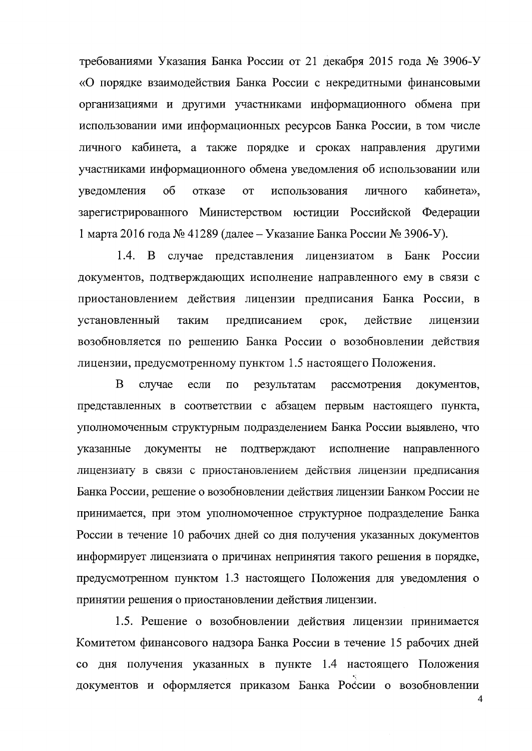требованиями Указания Банка России от 21 декабря 2015 года № 3906-У «О порядке взаимодействия Банка России с некредитными финансовыми организациями и другими участниками информационного обмена при использовании ими информационных ресурсов Банка России, в том числе личного кабинета, а также порядке и сроках направления другими участниками информационного обмена уведомления об использовании или уведомления  $\sigma$ отказе **OT** использования личного кабинета», зарегистрированного Министерством юстиции Российской Федерации 1 марта 2016 года № 41289 (далее – Указание Банка России № 3906-У).

 $1.4.$ В случае представления лицензиатом в Банк России документов, подтверждающих исполнение направленного ему в связи с приостановлением действия лицензии предписания Банка России, в установленный предписанием действие таким срок, лицензии возобновляется по решению Банка России о возобновлении действия лицензии, предусмотренному пунктом 1.5 настоящего Положения.

<sub>B</sub> случае если  $\Pi$ O результатам рассмотрения документов, представленных в соответствии с абзацем первым настоящего пункта, уполномоченным структурным подразделением Банка России выявлено, что указанные документы He подтверждают исполнение направленного лицензиату в связи с приостановлением действия лицензии предписания Банка России, решение о возобновлении действия лицензии Банком России не принимается, при этом уполномоченное структурное подразделение Банка России в течение 10 рабочих дней со дня получения указанных документов информирует лицензиата о причинах непринятия такого решения в порядке, предусмотренном пунктом 1.3 настоящего Положения для уведомления о принятии решения о приостановлении действия лицензии.

1.5. Решение о возобновлении действия лицензии принимается Комитетом финансового надзора Банка России в течение 15 рабочих дней со дня получения указанных в пункте 1.4 настоящего Положения документов и оформляется приказом Банка России о возобновлении

 $\overline{\mathbf{4}}$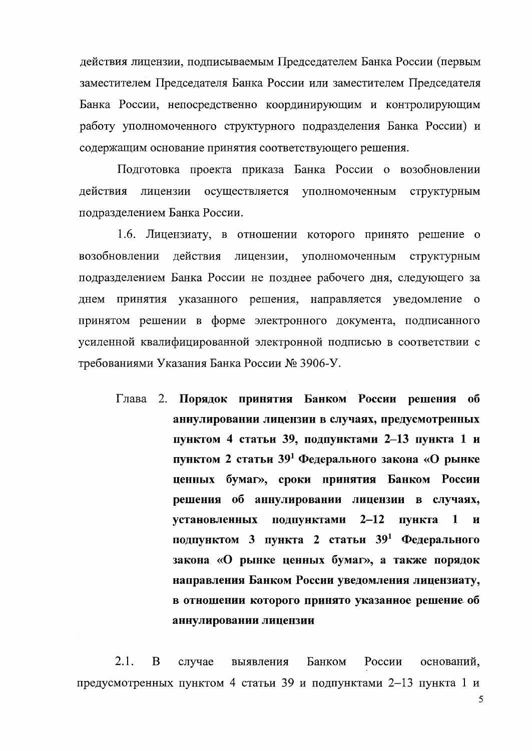действия лицензии, подписываемым Председателем Банка России (первым заместителем Председателя Банка России или заместителем Председателя Банка России, непосредственно координирующим и контролирующим работу уполномоченного структурного подразделения Банка России) и содержащим основание принятия соответствующего решения.

Подготовка проекта приказа Банка России о возобновлении действия лицензии осуществляется уполномоченным структурным подразделением Банка России.

1.6. Лицензиату, в отношении которого принято решение о действия лицензии, уполномоченным структурным возобновлении подразделением Банка России не позднее рабочего дня, следующего за днем принятия указанного решения, направляется уведомление о принятом решении в форме электронного документа, подписанного усиленной квалифицированной электронной подписью в соответствии с требованиями Указания Банка России № 3906-У.

Глава 2. Порядок принятия Банком России решения об аннулировании лицензии в случаях, предусмотренных пунктом 4 статьи 39, подпунктами 2-13 пункта 1 и пунктом 2 статьи 39<sup>1</sup> Федерального закона «О рынке ценных бумаг», сроки принятия Банком России решения об аннулировании лицензии в случаях, установленных подпунктами  $2-12$ пункта  $\mathbf{1}$  $\mathbf{M}$ подпунктом 3 пункта 2 статьи 39<sup>1</sup> Федерального закона «О рынке ценных бумаг», а также порядок направления Банком России уведомления лицензиату, в отношении которого принято указанное решение об аннулировании лицензии

 $2.1.$ B случае выявления Банком России оснований, предусмотренных пунктом 4 статьи 39 и подпунктами 2-13 пункта 1 и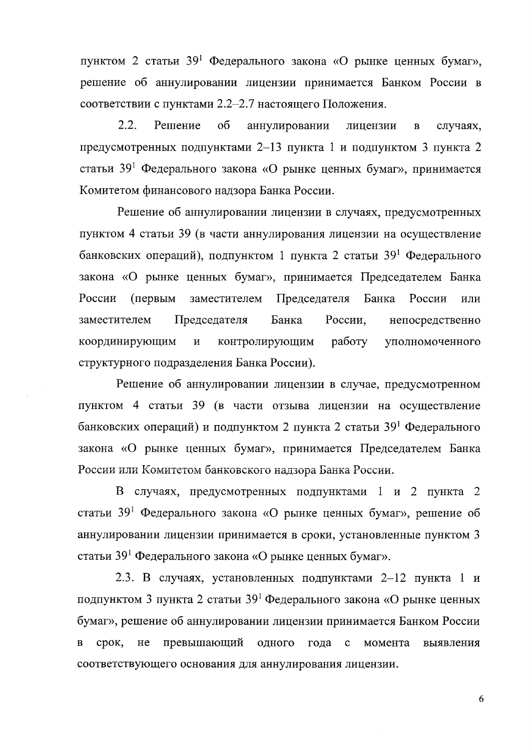пунктом 2 статьи 39<sup>1</sup> Федерального закона «О рынке ценных бумаг», решение об аннулировании лицензии принимается Банком России в соответствии с пунктами 2.2-2.7 настоящего Положения.

 $2.2.$ Решение об аннулировании лицензии  $\overline{B}$ случаях, предусмотренных подпунктами 2-13 пункта 1 и подпунктом 3 пункта 2 статьи 39<sup>1</sup> Федерального закона «О рынке ценных бумаг», принимается Комитетом финансового надзора Банка России.

Решение об аннулировании лицензии в случаях, предусмотренных пунктом 4 статьи 39 (в части аннулирования лицензии на осуществление банковских операций), подпунктом 1 пункта 2 статьи 39<sup>1</sup> Федерального закона «О рынке ценных бумаг», принимается Председателем Банка России (первым заместителем Председателя Банка России ИЛИ Председателя Банка России, заместителем непосредственно координирующим  $\mathbf{M}$ контролирующим работу уполномоченного структурного подразделения Банка России).

Решение об аннулировании лицензии в случае, предусмотренном пунктом 4 статьи 39 (в части отзыва лицензии на осуществление банковских операций) и подпунктом 2 пункта 2 статьи 39<sup>1</sup> Федерального закона «О рынке ценных бумаг», принимается Председателем Банка России или Комитетом банковского надзора Банка России.

В случаях, предусмотренных подпунктами 1 и 2 пункта 2 статьи 39<sup>1</sup> Федерального закона «О рынке ценных бумаг», решение об аннулировании лицензии принимается в сроки, установленные пунктом 3 статьи 39<sup>1</sup> Федерального закона «О рынке ценных бумаг».

2.3. В случаях, установленных подпунктами 2-12 пункта 1 и подпунктом 3 пункта 2 статьи  $39<sup>1</sup>$  Федерального закона «О рынке ценных бумаг», решение об аннулировании лицензии принимается Банком России превышающий срок,  $He$ одного  $\overline{B}$ года  $\mathbf c$ момента выявления соответствующего основания для аннулирования лицензии.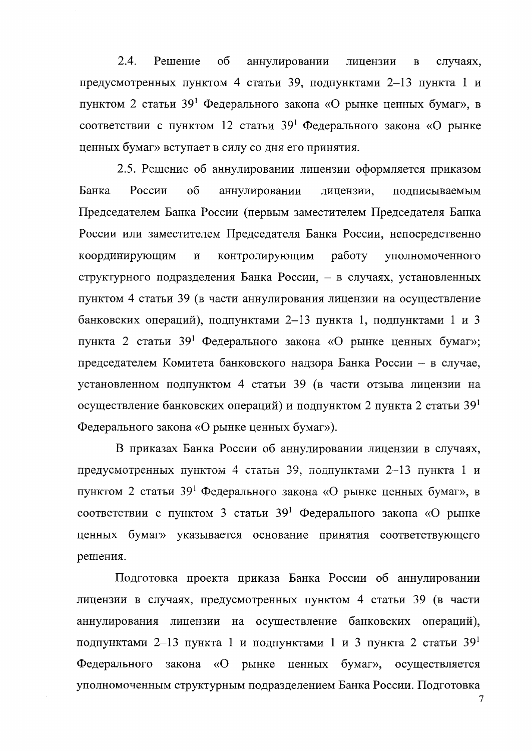$2.4.$ Решение об аннулировании лицензии случаях,  $\overline{B}$ предусмотренных пунктом 4 статьи 39, подпунктами 2-13 пункта 1 и пунктом 2 статьи 39<sup>1</sup> Федерального закона «О рынке ценных бумаг», в соответствии с пунктом 12 статьи 39<sup>1</sup> Федерального закона «О рынке ценных бумаг» вступает в силу со дня его принятия.

2.5. Решение об аннулировании лицензии оформляется приказом Банка России  $0<sup>6</sup>$ аннулировании лицензии, подписываемым Председателем Банка России (первым заместителем Председателя Банка России или заместителем Председателя Банка России, непосредственно работу координирующим  $\mathbf{M}$ контролирующим уполномоченного структурного подразделения Банка России, - в случаях, установленных пунктом 4 статьи 39 (в части аннулирования лицензии на осуществление банковских операций), подпунктами 2-13 пункта 1, подпунктами 1 и 3 пункта 2 статьи 39<sup>1</sup> Федерального закона «О рынке ценных бумаг»; председателем Комитета банковского надзора Банка России - в случае, установленном подпунктом 4 статьи 39 (в части отзыва лицензии на осуществление банковских операций) и подпунктом 2 пункта 2 статьи  $39<sup>1</sup>$ Федерального закона «О рынке ценных бумаг»).

В приказах Банка России об аннулировании лицензии в случаях, предусмотренных пунктом 4 статьи 39, подпунктами 2-13 пункта 1 и пунктом 2 статьи 39<sup>1</sup> Федерального закона «О рынке ценных бумаг», в соответствии с пунктом 3 статьи 39<sup>1</sup> Федерального закона «О рынке ценных бумаг» указывается основание принятия соответствующего решения.

Подготовка проекта приказа Банка России об аннулировании лицензии в случаях, предусмотренных пунктом 4 статьи 39 (в части аннулирования лицензии на осуществление банковских операций), подпунктами 2–13 пункта 1 и подпунктами 1 и 3 пункта 2 статьи  $39<sup>1</sup>$ Федерального закона «О рынке ценных бумаг», осуществляется уполномоченным структурным подразделением Банка России. Подготовка

 $\overline{7}$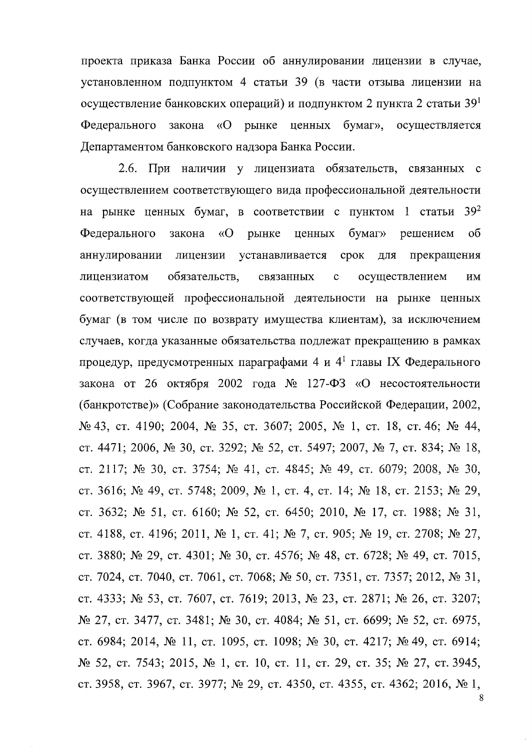проекта приказа Банка России об аннулировании лицензии в случае, установленном подпунктом 4 статьи 39 (в части отзыва лицензии на осуществление банковских операций) и подпунктом 2 пункта 2 статьи  $39<sup>1</sup>$ Фелерального закона  $\langle \langle \mathbf{O} \rangle$ рынке ценных бумаг». осуществляется Департаментом банковского надзора Банка России.

 $2.6.$ При наличии у лицензиата обязательств, связанных с осуществлением соответствующего вида профессиональной деятельности на рынке ценных бумаг, в соответствии с пунктом 1 статьи  $39^2$ Федерального закона  $\sqrt{O}$ рынке ценных бумаг» решением  $\sigma$ аннулировании лицензии устанавливается срок ДЛЯ прекращения обязательств. осуществлением лицензиатом связанных  $\ddot{\mathbf{C}}$ ИМ соответствующей профессиональной деятельности на рынке ценных бумаг (в том числе по возврату имущества клиентам), за исключением случаев, когда указанные обязательства подлежат прекращению в рамках процедур, предусмотренных параграфами 4 и  $4^1$  главы IX Федерального закона от 26 октября 2002 года № 127-ФЗ «О несостоятельности (банкротстве)» (Собрание законодательства Российской Федерации, 2002, № 43, ст. 4190; 2004, № 35, ст. 3607; 2005, № 1, ст. 18, ст. 46; № 44, ст. 4471; 2006, № 30, ст. 3292; № 52, ст. 5497; 2007, № 7, ст. 834; № 18, ст. 2117; № 30, ст. 3754; № 41, ст. 4845; № 49, ст. 6079; 2008, № 30, ст. 3616; № 49, ст. 5748; 2009, № 1, ст. 4, ст. 14; № 18, ст. 2153; № 29, ст. 3632; № 51, ст. 6160; № 52, ст. 6450; 2010, № 17, ст. 1988; № 31, ст. 4188, ст. 4196; 2011, № 1, ст. 41; № 7, ст. 905; № 19, ст. 2708; № 27, ст. 3880; № 29, ст. 4301; № 30, ст. 4576; № 48, ст. 6728; № 49, ст. 7015, ст. 7024, ст. 7040, ст. 7061, ст. 7068; № 50, ст. 7351, ст. 7357; 2012, № 31, ст. 4333; № 53, ст. 7607, ст. 7619; 2013, № 23, ст. 2871; № 26, ст. 3207; № 27, ст. 3477, ст. 3481; № 30, ст. 4084; № 51, ст. 6699; № 52, ст. 6975, ст. 6984; 2014, № 11, ст. 1095, ст. 1098; № 30, ст. 4217; № 49, ст. 6914; № 52, ст. 7543; 2015, № 1, ст. 10, ст. 11, ст. 29, ст. 35; № 27, ст. 3945, ст. 3958, ст. 3967, ст. 3977; № 29, ст. 4350, ст. 4355, ст. 4362; 2016, № 1,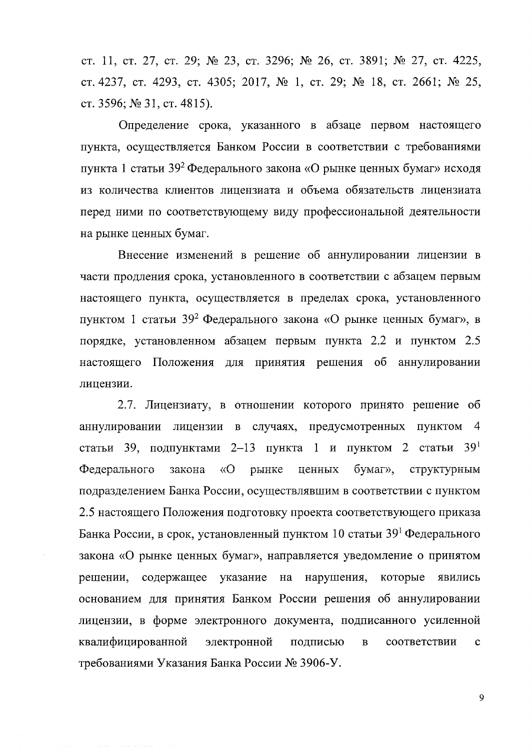ст. 11, ст. 27, ст. 29; № 23, ст. 3296; № 26, ст. 3891; № 27, ст. 4225, ст. 4237, ст. 4293, ст. 4305; 2017, № 1, ст. 29; № 18, ст. 2661; № 25, ст. 3596; № 31, ст. 4815).

Определение срока, указанного в абзаце первом настоящего пункта, осуществляется Банком России в соответствии с требованиями пункта 1 статьи 39<sup>2</sup> Федерального закона «О рынке ценных бумаг» исходя из количества клиентов лицензиата и объема обязательств лицензиата перед ними по соответствующему виду профессиональной деятельности на рынке ценных бумаг.

Внесение изменений в решение об аннулировании лицензии в части продления срока, установленного в соответствии с абзацем первым настоящего пункта, осуществляется в пределах срока, установленного пунктом 1 статьи 39<sup>2</sup> Федерального закона «О рынке ценных бумаг», в порядке, установленном абзацем первым пункта 2.2 и пунктом 2.5 настоящего Положения для принятия решения об аннулировании лицензии.

2.7. Лицензиату, в отношении которого принято решение об аннулировании лицензии в случаях, предусмотренных пунктом 4 статьи 39, подпунктами 2-13 пункта 1 и пунктом 2 статьи 39<sup>1</sup> Федерального закона  $\langle \langle \mathbf{O} \rangle$ рынке бумаг», структурным ценных подразделением Банка России, осуществлявшим в соответствии с пунктом 2.5 настоящего Положения подготовку проекта соответствующего приказа Банка России, в срок, установленный пунктом 10 статьи 39<sup>1</sup> Федерального закона «О рынке ценных бумаг», направляется уведомление о принятом содержащее указание на нарушения, которые решении, явились основанием для принятия Банком России решения об аннулировании лицензии, в форме электронного документа, подписанного усиленной квалифицированной электронной подписью  $\mathbf{B}$ соответствии  $\mathbf{C}$ требованиями Указания Банка России № 3906-У.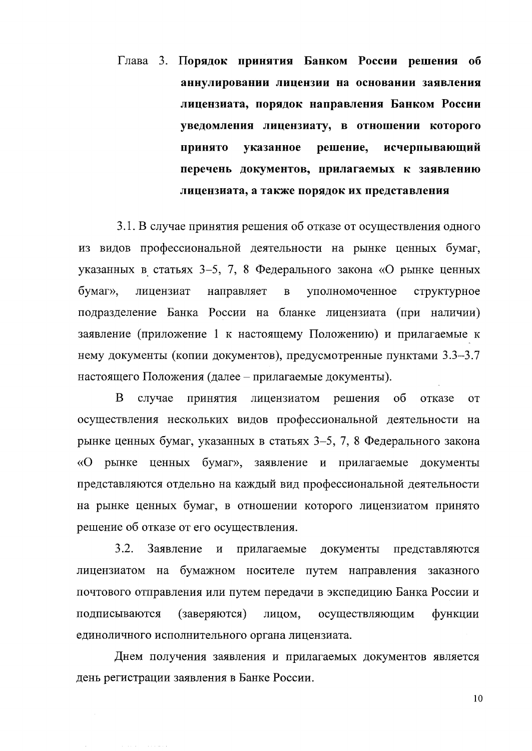Глава 3. Порядок принятия Банком России решения об аннулировании лицензии на основании заявления лицензиата, порядок направления Банком России уведомления лицензиату, в отношении которого принято указанное решение, исчерпывающий перечень документов, прилагаемых к заявлению лицензиата, а также порядок их представления

3.1. В случае принятия решения об отказе от осуществления одного из видов профессиональной деятельности на рынке ценных бумаг, указанных в статьях 3-5, 7, 8 Федерального закона «О рынке ценных  $6$  v  $\alpha$  r  $\alpha$ . лицензиат направляет  $\mathbf{B}$ уполномоченное структурное подразделение Банка России на бланке лицензиата (при наличии) заявление (приложение 1 к настоящему Положению) и прилагаемые к нему документы (копии документов), предусмотренные пунктами 3.3-3.7 настоящего Положения (далее – прилагаемые документы).

B случае принятия лицензиатом решения об отказе **OT** осуществления нескольких видов профессиональной деятельности на рынке ценных бумаг, указанных в статьях 3-5, 7, 8 Федерального закона «О рынке ценных бумаг», заявление и прилагаемые документы представляются отдельно на каждый вид профессиональной деятельности на рынке ценных бумаг, в отношении которого лицензиатом принято решение об отказе от его осуществления.

 $3.2.$ Заявление и прилагаемые документы представляются лицензиатом на бумажном носителе путем направления заказного почтового отправления или путем передачи в экспедицию Банка России и подписываются (заверяются) лицом, осуществляющим функции единоличного исполнительного органа лицензиата.

Днем получения заявления и прилагаемых документов является день регистрации заявления в Банке России.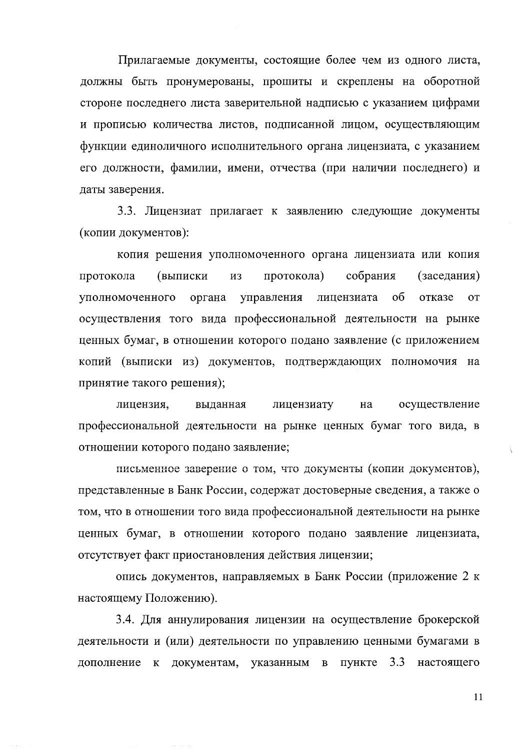Прилагаемые документы, состоящие более чем из одного листа, должны быть пронумерованы, прошиты и скреплены на оборотной стороне последнего листа заверительной надписью с указанием цифрами и прописью количества листов, подписанной лицом, осуществляющим функции единоличного исполнительного органа лицензиата, с указанием его должности, фамилии, имени, отчества (при наличии последнего) и даты заверения.

3.3. Лицензиат прилагает к заявлению следующие документы (копии документов):

копия решения уполномоченного органа лицензиата или копия собрания протокола (выписки **H3** протокола) (заседания) уполномоченного органа управления лицензиата  $\sigma$ отказе **OT** осуществления того вида профессиональной деятельности на рынке ценных бумаг, в отношении которого подано заявление (с приложением копий (выписки из) документов, подтверждающих полномочия на принятие такого решения);

лицензия, выданная лицензиату осуществление на профессиональной деятельности на рынке ценных бумаг того вида, в отношении которого подано заявление;

письменное заверение о том, что документы (копии документов), представленные в Банк России, содержат достоверные сведения, а также о том, что в отношении того вида профессиональной деятельности на рынке ценных бумаг, в отношении которого подано заявление лицензиата, отсутствует факт приостановления действия лицензии;

опись документов, направляемых в Банк России (приложение 2 к настоящему Положению).

3.4. Для аннулирования лицензии на осуществление брокерской деятельности и (или) деятельности по управлению ценными бумагами в  $3.3$ документам, указанным  $\, {\bf B}$ пункте настоящего дополнение к

11

Ñ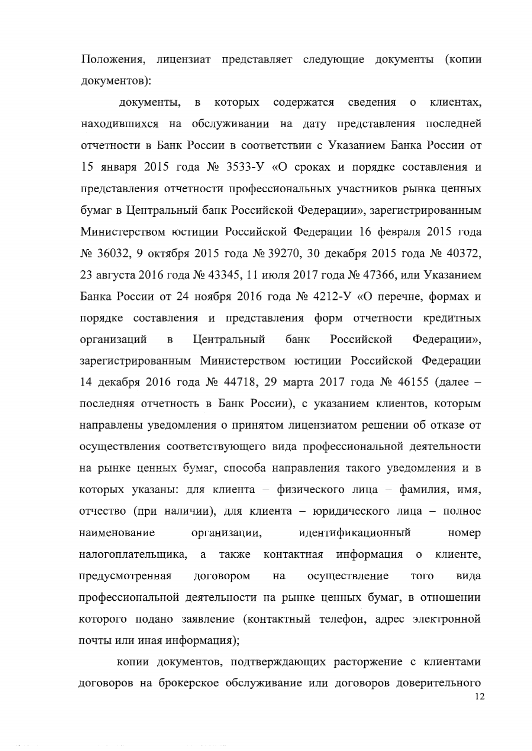Положения, лицензиат представляет следующие документы (копии документов):

содержатся документы, которых сведения клиентах,  $\bf{B}$  $\mathbf{o}$ находившихся на обслуживании на дату представления последней отчетности в Банк России в соответствии с Указанием Банка России от 15 января 2015 года  $N_2$  3533-У «О сроках и порядке составления и представления отчетности профессиональных участников рынка ценных бумаг в Центральный банк Российской Федерации», зарегистрированным Министерством юстиции Российской Федерации 16 февраля 2015 года № 36032, 9 октября 2015 года № 39270, 30 декабря 2015 года № 40372, 23 августа 2016 года № 43345, 11 июля 2017 года № 47366, или Указанием Банка России от 24 ноября 2016 года № 4212-У «О перечне, формах и порядке составления и представления форм отчетности кредитных Центральный банк Российской организаций  $\overline{B}$ Федерации», зарегистрированным Министерством юстиции Российской Федерации 14 декабря 2016 года № 44718, 29 марта 2017 года № 46155 (далее последняя отчетность в Банк России), с указанием клиентов, которым направлены уведомления о принятом лицензиатом решении об отказе от осуществления соответствующего вида профессиональной деятельности на рынке ценных бумаг, способа направления такого уведомления и в которых указаны: для клиента - физического лица - фамилия, имя, отчество (при наличии), для клиента - юридического лица - полное идентификационный наименование организации, номер налогоплательщика, a также контактная информация  $\overline{O}$ клиенте, договором осуществление предусмотренная на того вида профессиональной деятельности на рынке ценных бумаг, в отношении которого подано заявление (контактный телефон, адрес электронной почты или иная информация);

копии документов, подтверждающих расторжение с клиентами договоров на брокерское обслуживание или договоров доверительного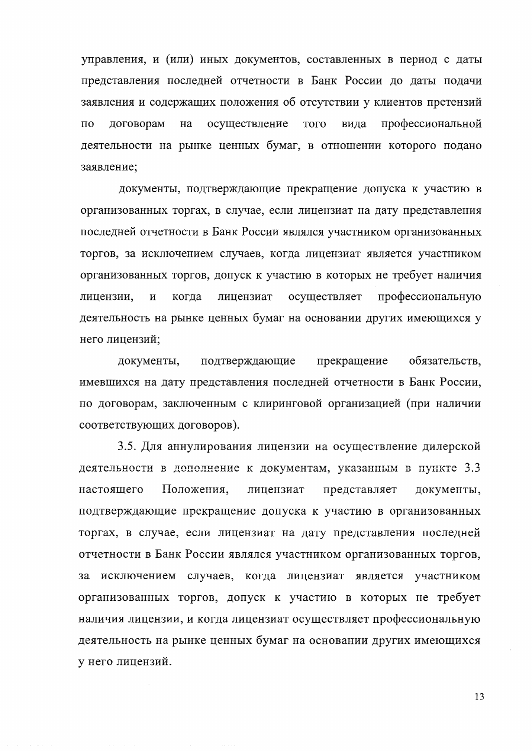управления, и (или) иных документов, составленных в период с даты представления последней отчетности в Банк России до даты подачи заявления и содержащих положения об отсутствии у клиентов претензий договорам осуществление вида профессиональной  $\overline{10}$ на того деятельности на рынке ценных бумаг, в отношении которого подано заявление;

документы, подтверждающие прекращение допуска к участию в организованных торгах, в случае, если лицензиат на дату представления последней отчетности в Банк России являлся участником организованных торгов, за исключением случаев, когда лицензиат является участником организованных торгов, допуск к участию в которых не требует наличия когда лицензиат осуществляет профессиональную лицензии,  $\overline{\mathbf{M}}$ деятельность на рынке ценных бумаг на основании других имеющихся у него лицензий;

документы, подтверждающие прекращение обязательств, имевшихся на дату представления последней отчетности в Банк России. по договорам, заключенным с клиринговой организацией (при наличии соответствующих договоров).

3.5. Для аннулирования лицензии на осуществление дилерской деятельности в дополнение к документам, указанным в пункте 3.3 Положения, настоящего лицензиат представляет документы, подтверждающие прекращение допуска к участию в организованных торгах, в случае, если лицензиат на дату представления последней отчетности в Банк России являлся участником организованных торгов, за исключением случаев, когда лицензиат является участником организованных торгов, допуск к участию в которых не требует наличия лицензии, и когда лицензиат осуществляет профессиональную деятельность на рынке ценных бумаг на основании других имеющихся у него лицензий.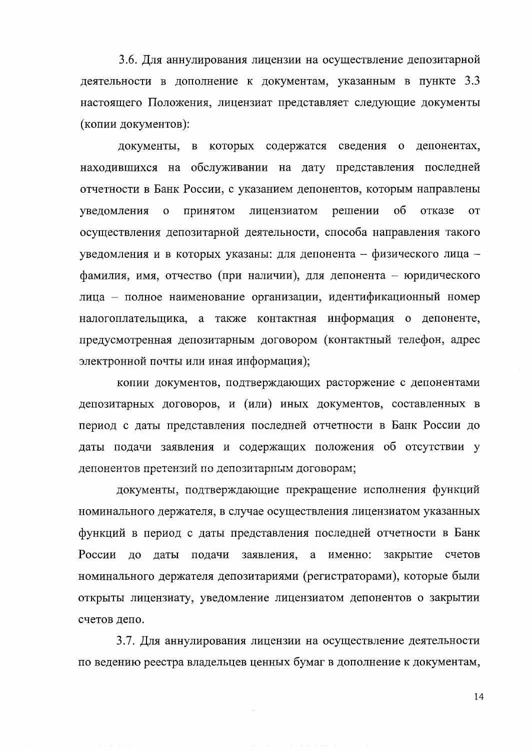3.6. Для аннулирования лицензии на осуществление депозитарной деятельности в дополнение к документам, указанным в пункте 3.3 настоящего Положения, лицензиат представляет следующие документы (копии документов):

документы, в которых содержатся сведения о депонентах, находившихся на обслуживании на дату представления последней отчетности в Банк России, с указанием депонентов, которым направлены уведомления  $\overline{O}$ принятом лицензиатом решении об отказе **OT** осуществления депозитарной деятельности, способа направления такого уведомления и в которых указаны: для депонента - физического лица фамилия, имя, отчество (при наличии), для депонента - юридического лица - полное наименование организации, идентификационный номер налогоплательщика, а также контактная информация о депоненте, предусмотренная депозитарным договором (контактный телефон, адрес электронной почты или иная информация);

копии документов, подтверждающих расторжение с депонентами депозитарных договоров, и (или) иных документов, составленных в период с даты представления последней отчетности в Банк России до даты подачи заявления и содержащих положения об отсутствии у депонентов претензий по депозитарным договорам;

документы, подтверждающие прекращение исполнения функций номинального держателя, в случае осуществления лицензиатом указанных функций в период с даты представления последней отчетности в Банк России до даты подачи заявления, а именно: закрытие счетов номинального держателя депозитариями (регистраторами), которые были открыты лицензиату, уведомление лицензиатом депонентов о закрытии счетов депо.

3.7. Для аннулирования лицензии на осуществление деятельности по ведению реестра владельцев ценных бумаг в дополнение к документам,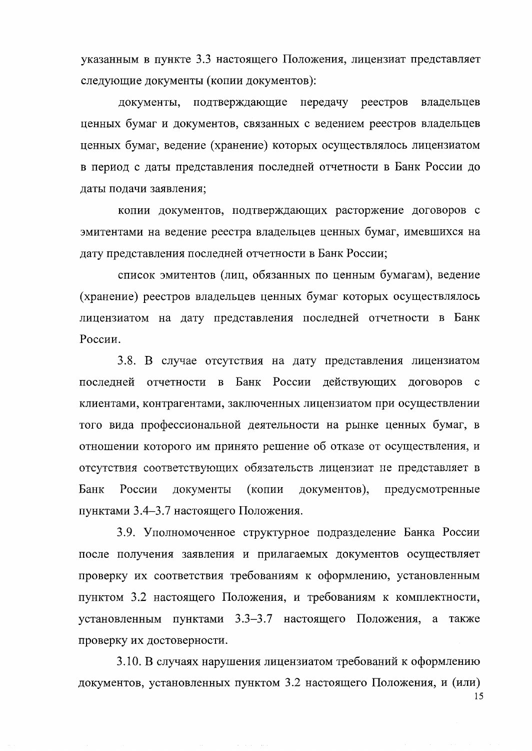указанным в пункте 3.3 настоящего Положения, лицензиат представляет следующие документы (копии документов):

подтверждающие передачу реестров документы, владельцев ценных бумаг и документов, связанных с ведением реестров владельцев ценных бумаг, ведение (хранение) которых осуществлялось лицензиатом в период с даты представления последней отчетности в Банк России до даты подачи заявления;

копии документов, подтверждающих расторжение договоров с эмитентами на ведение реестра владельцев ценных бумаг, имевшихся на лату представления последней отчетности в Банк России:

список эмитентов (лиц, обязанных по ценным бумагам), ведение (хранение) реестров владельцев ценных бумаг которых осуществлялось лицензиатом на дату представления последней отчетности в Банк России.

3.8. В случае отсутствия на дату представления лицензиатом последней отчетности в Банк России действующих договоров  $\mathbf{c}$ клиентами, контрагентами, заключенных лицензиатом при осуществлении того вида профессиональной деятельности на рынке ценных бумаг, в отношении которого им принято решение об отказе от осуществления, и отсутствия соответствующих обязательств лицензиат не представляет в Банк России документы (копии документов), предусмотренные пунктами 3.4-3.7 настоящего Положения.

3.9. Уполномоченное структурное подразделение Банка России после получения заявления и прилагаемых документов осуществляет проверку их соответствия требованиям к оформлению, установленным пунктом 3.2 настоящего Положения, и требованиям к комплектности, установленным пунктами 3.3-3.7 настоящего Положения, а также проверку их достоверности.

3.10. В случаях нарушения лицензиатом требований к оформлению документов, установленных пунктом 3.2 настоящего Положения, и (или)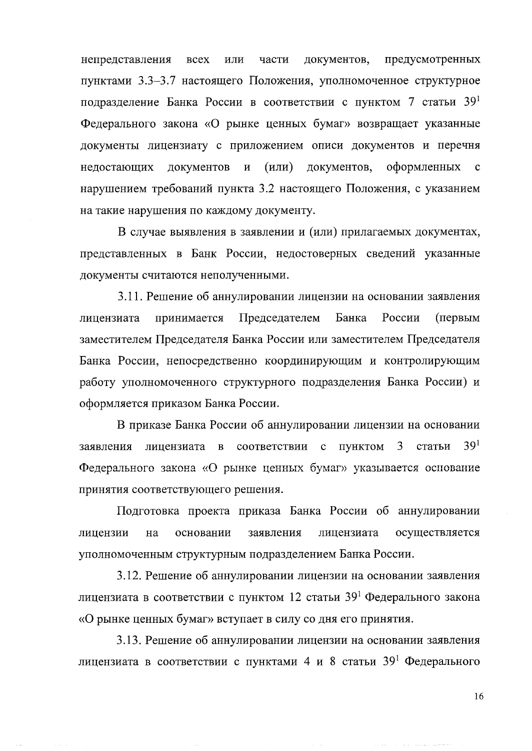непредставления **BCCX** или части документов. предусмотренных пунктами 3.3-3.7 настоящего Положения, уполномоченное структурное подразделение Банка России в соответствии с пунктом 7 статьи 39<sup>1</sup> Федерального закона «О рынке ценных бумаг» возвращает указанные документы лицензиату с приложением описи документов и перечня документов  $(MJ)$ документов, оформленных недостающих  $\mathbf{M}$  $\mathbf{c}$ нарушением требований пункта 3.2 настоящего Положения, с указанием на такие нарушения по каждому документу.

В случае выявления в заявлении и (или) прилагаемых документах, представленных в Банк России, недостоверных сведений указанные документы считаются неполученными.

3.11. Решение об аннулировании лицензии на основании заявления принимается Председателем Банка России (первым лицензиата заместителем Председателя Банка России или заместителем Председателя Банка России, непосредственно координирующим и контролирующим работу уполномоченного структурного подразделения Банка России) и оформляется приказом Банка России.

В приказе Банка России об аннулировании лицензии на основании  $39<sup>1</sup>$ 3 заявления лицензиата в соответствии  $\mathbf{c}$ пунктом статьи Федерального закона «О рынке ценных бумаг» указывается основание принятия соответствующего решения.

Подготовка проекта приказа Банка России об аннулировании заявления лицензии основании лицензиата осуществляется на уполномоченным структурным подразделением Банка России.

3.12. Решение об аннулировании лицензии на основании заявления лицензиата в соответствии с пунктом 12 статьи 39<sup>1</sup> Федерального закона «О рынке ценных бумаг» вступает в силу со дня его принятия.

3.13. Решение об аннулировании лицензии на основании заявления лицензиата в соответствии с пунктами 4 и 8 статьи 39<sup>1</sup> Федерального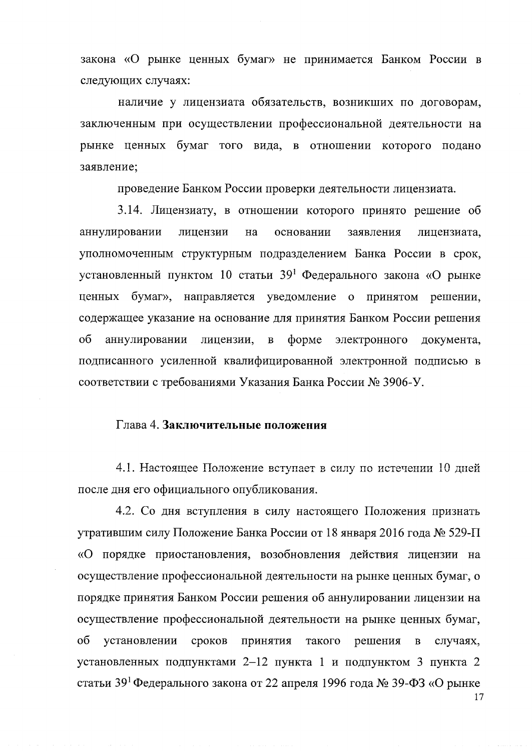закона «О рынке ценных бумаг» не принимается Банком России в следующих случаях:

наличие у лицензиата обязательств, возникших по договорам, заключенным при осуществлении профессиональной деятельности на рынке ценных бумаг того вида, в отношении которого подано заявление;

проведение Банком России проверки деятельности лицензиата.

3.14. Лицензиату, в отношении которого принято решение об аннулировании лицензии на основании заявления лицензиата, уполномоченным структурным подразделением Банка России в срок, установленный пунктом 10 статьи 39<sup>1</sup> Федерального закона «О рынке ценных бумаг», направляется уведомление о принятом решении, содержащее указание на основание для принятия Банком России решения об аннулировании лицензии,  $\, {\bf B}$  $\phi$ opme электронного документа, подписанного усиленной квалифицированной электронной подписью в соответствии с требованиями Указания Банка России № 3906-У.

## Глава 4. Заключительные положения

4.1. Настоящее Положение вступает в силу по истечении 10 дней после дня его официального опубликования.

4.2. Со дня вступления в силу настоящего Положения признать утратившим силу Положение Банка России от 18 января 2016 года № 529-П «О порядке приостановления, возобновления действия лицензии на осуществление профессиональной деятельности на рынке ценных бумаг, о порядке принятия Банком России решения об аннулировании лицензии на осуществление профессиональной деятельности на рынке ценных бумаг, об установлении сроков принятия такого решения  $\, {\bf B}$ случаях, установленных подпунктами 2-12 пункта 1 и подпунктом 3 пункта 2 статьи 39<sup>1</sup> Федерального закона от 22 апреля 1996 года № 39-ФЗ «О рынке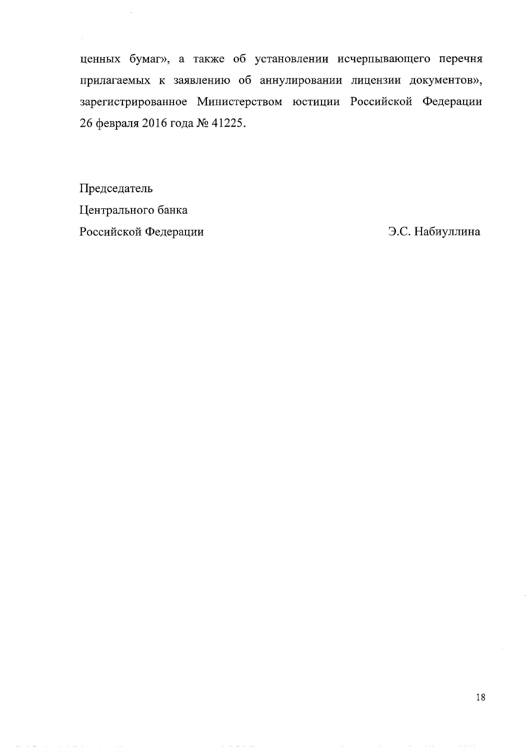ценных бумаг», а также об установлении исчерпывающего перечня прилагаемых к заявлению об аннулировании лицензии документов», зарегистрированное Министерством юстиции Российской Федерации 26 февраля 2016 года № 41225.

Председатель Центрального банка Российской Федерации

Э.С. Набиуллина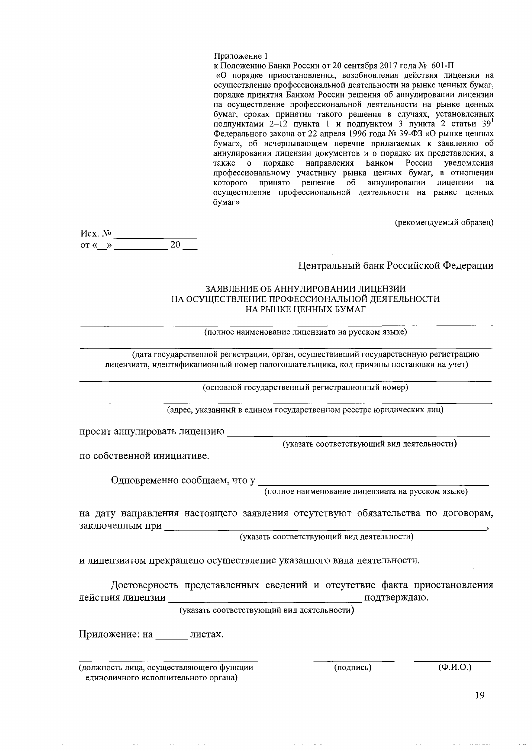#### Приложение 1

к Положению Банка России от 20 сентября 2017 года № 601-П «О порядке приостановления, возобновления действия лицензии на осуществление профессиональной деятельности на рынке ценных бумаг, порядке принятия Банком России решения об аннулировании лицензии на осуществление профессиональной деятельности на рынке ценных бумаг, сроках принятия такого решения в случаях, установленных подпунктами 2-12 пункта 1 и подпунктом 3 пункта 2 статьи 39<sup>1</sup> Федерального закона от 22 апреля 1996 года № 39-ФЗ «О рынке ценных бумаг», об исчерпывающем перечне прилагаемых к заявлению об аннулировании лицензии документов и о порядке их представления, а также о порядке направления Банком России уведомления профессиональному участнику рынка ценных бумаг, в отношении которого принято решение об аннулировании лицензии на осуществление профессиональной деятельности на рынке ценных бумаг»

(рекомендуемый образец)

 $Mcx. N<sub>2</sub>$  $\overline{20}$  $\overline{\text{OT}} \leftarrow \rightarrow$ 

## Центральный банк Российской Федерации

### ЗАЯВЛЕНИЕ ОБ АННУЛИРОВАНИИ ЛИШЕНЗИИ НА ОСУЩЕСТВЛЕНИЕ ПРОФЕССИОНАЛЬНОЙ ДЕЯТЕЛЬНОСТИ НА РЫНКЕ ЦЕННЫХ БУМАГ

(полное наименование лицензиата на русском языке)

(дата государственной регистрации, орган, осуществивший государственную регистрацию лицензиата, идентификационный номер налогоплательщика, код причины постановки на учет)

(основной государственный регистрационный номер)

(адрес, указанный в едином государственном реестре юридических лиц)

просит аннулировать лицензию

(указать соответствующий вид деятельности)

по собственной инициативе.

Одновременно сообщаем, что у полное наименование лицензиата на русском языке)

на дату направления настоящего заявления отсутствуют обязательства по договорам, заключенным при

(указать соответствующий вид деятельности)

и лицензиатом прекращено осуществление указанного вида деятельности.

Достоверность представленных сведений и отсутствие факта приостановления действия лицензии подтверждаю.

(указать соответствующий вид деятельности)

Приложение: на пистах.

(должность лица, осуществляющего функции единоличного исполнительного органа)

(подпись)

 $\overline{(\Phi.M.O.)}$